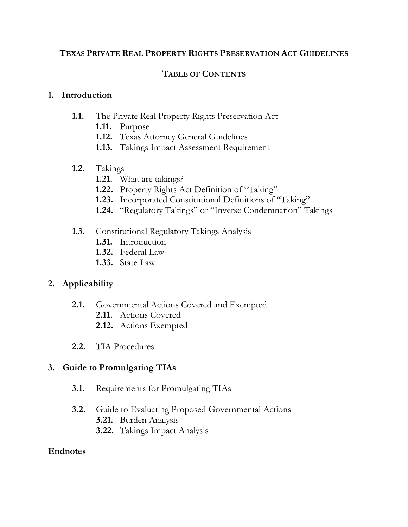#### **TEXAS PRIVATE REAL PROPERTY RIGHTS PRESERVATION ACT GUIDELINES**

#### **TABLE OF CONTENTS**

#### **1. Introduction**

#### **1.1.** The Private Real Property Rights Preservation Act

- **1.11.** Purpose
- **1.12.** Texas Attorney General Guidelines
- **1.13.** Takings Impact Assessment Requirement

#### **1.2.** Takings

- **1.21.** What are takings?
- **1.22.** Property Rights Act Definition of "Taking"
- **1.23.** Incorporated Constitutional Definitions of "Taking"
- **1.24.** "Regulatory Takings" or "Inverse Condemnation" Takings

#### **1.3.** Constitutional Regulatory Takings Analysis

- **1.31.** Introduction
- **1.32.** Federal Law
- **1.33.** State Law

## **2. Applicability**

- **2.1.** Governmental Actions Covered and Exempted
	- **2.11.** Actions Covered
	- **2.12.** Actions Exempted
- **2.2.** TIA Procedures

#### **3. Guide to Promulgating TIAs**

- **3.1.** Requirements for Promulgating TIAs
- **3.2.** Guide to Evaluating Proposed Governmental Actions
	- **3.21.** Burden Analysis
	- **3.22.** Takings Impact Analysis

#### **Endnotes**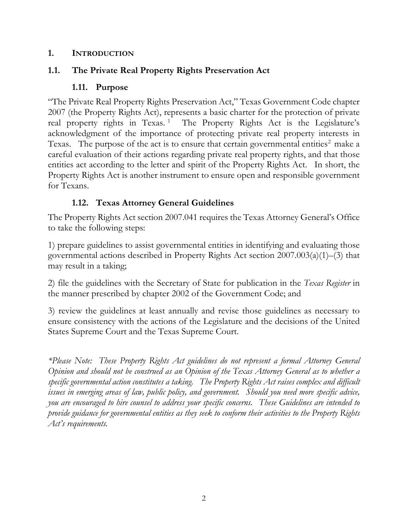#### **1. INTRODUCTION**

## **1.1. The Private Real Property Rights Preservation Act**

## **1.11. Purpose**

"The Private Real Property Rights Preservation Act," Texas Government Code chapter 2007 (the Property Rights Act), represents a basic charter for the protection of private real property rights in Texas.<sup>[1](#page-16-0)</sup> The Property Rights Act is the Legislature's acknowledgment of the importance of protecting private real property interests in Texas. The purpose of the act is to ensure that certain governmental entities<sup>[2](#page-16-1)</sup> make a careful evaluation of their actions regarding private real property rights, and that those entities act according to the letter and spirit of the Property Rights Act. In short, the Property Rights Act is another instrument to ensure open and responsible government for Texans.

## **1.12. Texas Attorney General Guidelines**

The Property Rights Act section 2007.041 requires the Texas Attorney General's Office to take the following steps:

1) prepare guidelines to assist governmental entities in identifying and evaluating those governmental actions described in Property Rights Act section 2007.003(a)(1)–(3) that may result in a taking;

2) file the guidelines with the Secretary of State for publication in the *Texas Register* in the manner prescribed by chapter 2002 of the Government Code; and

3) review the guidelines at least annually and revise those guidelines as necessary to ensure consistency with the actions of the Legislature and the decisions of the United States Supreme Court and the Texas Supreme Court.

*\*Please Note: These Property Rights Act guidelines do not represent a formal Attorney General Opinion and should not be construed as an Opinion of the Texas Attorney General as to whether a specific governmental action constitutes a taking. The Property Rights Act raises complex and difficult issues in emerging areas of law, public policy, and government. Should you need more specific advice, you are encouraged to hire counsel to address your specific concerns. These Guidelines are intended to provide guidance for governmental entities as they seek to conform their activities to the Property Rights Act's requirements.*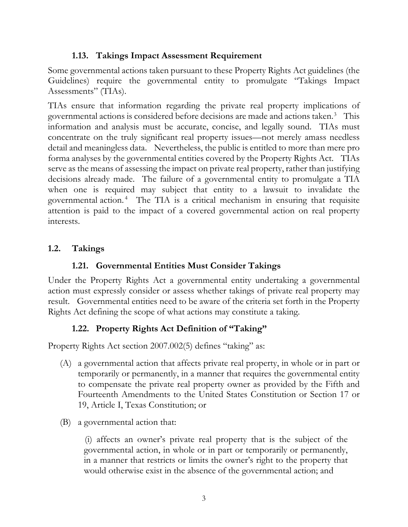## **1.13. Takings Impact Assessment Requirement**

Some governmental actions taken pursuant to these Property Rights Act guidelines (the Guidelines) require the governmental entity to promulgate "Takings Impact Assessments" (TIAs).

TIAs ensure that information regarding the private real property implications of governmental actions is considered before decisions are made and actions taken.<sup>[3](#page-16-2)</sup> This information and analysis must be accurate, concise, and legally sound. TIAs must concentrate on the truly significant real property issues—not merely amass needless detail and meaningless data. Nevertheless, the public is entitled to more than mere pro forma analyses by the governmental entities covered by the Property Rights Act. TIAs serve as the means of assessing the impact on private real property, rather than justifying decisions already made. The failure of a governmental entity to promulgate a TIA when one is required may subject that entity to a lawsuit to invalidate the governmental action. [4](#page-17-0) The TIA is a critical mechanism in ensuring that requisite attention is paid to the impact of a covered governmental action on real property interests.

## **1.2. Takings**

#### **1.21. Governmental Entities Must Consider Takings**

Under the Property Rights Act a governmental entity undertaking a governmental action must expressly consider or assess whether takings of private real property may result. Governmental entities need to be aware of the criteria set forth in the Property Rights Act defining the scope of what actions may constitute a taking.

#### **1.22. Property Rights Act Definition of "Taking"**

Property Rights Act section 2007.002(5) defines "taking" as:

- (A) a governmental action that affects private real property, in whole or in part or temporarily or permanently, in a manner that requires the governmental entity to compensate the private real property owner as provided by the Fifth and Fourteenth Amendments to the United States Constitution or Section 17 or 19, Article I, Texas Constitution; or
- (B) a governmental action that:

(i) affects an owner's private real property that is the subject of the governmental action, in whole or in part or temporarily or permanently, in a manner that restricts or limits the owner's right to the property that would otherwise exist in the absence of the governmental action; and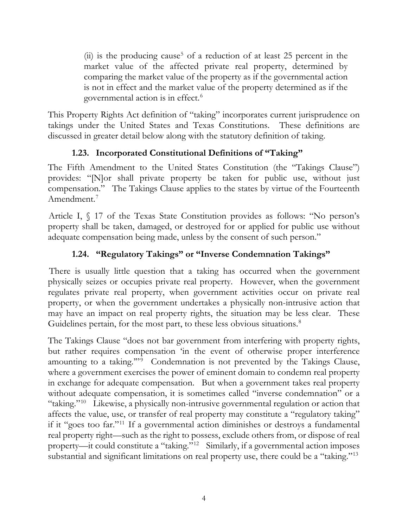(ii) is the producing cause<sup>[5](#page-17-1)</sup> of a reduction of at least 25 percent in the market value of the affected private real property, determined by comparing the market value of the property as if the governmental action is not in effect and the market value of the property determined as if the governmental action is in effect.[6](#page-17-2)

This Property Rights Act definition of "taking" incorporates current jurisprudence on takings under the United States and Texas Constitutions. These definitions are discussed in greater detail below along with the statutory definition of taking.

## **1.23. Incorporated Constitutional Definitions of "Taking"**

The Fifth Amendment to the United States Constitution (the "Takings Clause") provides: "[N]or shall private property be taken for public use, without just compensation." The Takings Clause applies to the states by virtue of the Fourteenth Amendment.<sup>[7](#page-17-3)</sup>

Article I, § 17 of the Texas State Constitution provides as follows: "No person's property shall be taken, damaged, or destroyed for or applied for public use without adequate compensation being made, unless by the consent of such person."

## **1.24. "Regulatory Takings" or "Inverse Condemnation Takings"**

There is usually little question that a taking has occurred when the government physically seizes or occupies private real property. However, when the government regulates private real property, when government activities occur on private real property, or when the government undertakes a physically non-intrusive action that may have an impact on real property rights, the situation may be less clear. These Guidelines pertain, for the most part, to these less obvious situations. [8](#page-17-4)

The Takings Clause "does not bar government from interfering with property rights, but rather requires compensation 'in the event of otherwise proper interference amounting to a taking."<sup> $\overline{9}$  $\overline{9}$  $\overline{9}$ </sup> Condemnation is not prevented by the Takings Clause, where a government exercises the power of eminent domain to condemn real property in exchange for adequate compensation. But when a government takes real property without adequate compensation, it is sometimes called "inverse condemnation" or a "taking."[10](#page-18-0) Likewise, a physically non-intrusive governmental regulation or action that affects the value, use, or transfer of real property may constitute a "regulatory taking" if it "goes too far."[11](#page-18-1) If a governmental action diminishes or destroys a fundamental real property right—such as the right to possess, exclude others from, or dispose of real property—it could constitute a "taking."[12](#page-18-2) Similarly, if a governmental action imposes substantial and significant limitations on real property use, there could be a "taking."[13](#page-18-3)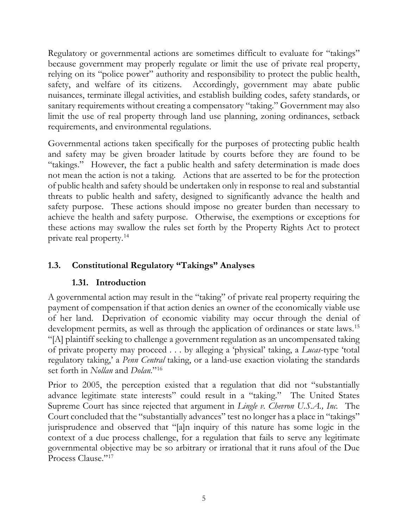Regulatory or governmental actions are sometimes difficult to evaluate for "takings" because government may properly regulate or limit the use of private real property, relying on its "police power" authority and responsibility to protect the public health, safety, and welfare of its citizens. Accordingly, government may abate public nuisances, terminate illegal activities, and establish building codes, safety standards, or sanitary requirements without creating a compensatory "taking." Government may also limit the use of real property through land use planning, zoning ordinances, setback requirements, and environmental regulations.

Governmental actions taken specifically for the purposes of protecting public health and safety may be given broader latitude by courts before they are found to be "takings." However, the fact a public health and safety determination is made does not mean the action is not a taking. Actions that are asserted to be for the protection of public health and safety should be undertaken only in response to real and substantial threats to public health and safety, designed to significantly advance the health and safety purpose. These actions should impose no greater burden than necessary to achieve the health and safety purpose. Otherwise, the exemptions or exceptions for these actions may swallow the rules set forth by the Property Rights Act to protect private real property.[14](#page-18-4)

# **1.3. Constitutional Regulatory "Takings" Analyses**

## **1.31. Introduction**

A governmental action may result in the "taking" of private real property requiring the payment of compensation if that action denies an owner of the economically viable use of her land. Deprivation of economic viability may occur through the denial of development permits, as well as through the application of ordinances or state laws.<sup>[15](#page-18-5)</sup> "[A] plaintiff seeking to challenge a government regulation as an uncompensated taking of private property may proceed . . . by alleging a 'physical' taking, a *Lucas*-type 'total regulatory taking,' a *Penn Central* taking, or a land-use exaction violating the standards set forth in *Nollan* and *Dolan*."[16](#page-18-6)

Prior to 2005, the perception existed that a regulation that did not "substantially advance legitimate state interests" could result in a "taking." The United States Supreme Court has since rejected that argument in *Lingle v. Chevron U.S.A., Inc.* The Court concluded that the "substantially advances" test no longer has a place in "takings" jurisprudence and observed that "[a]n inquiry of this nature has some logic in the context of a due process challenge, for a regulation that fails to serve any legitimate governmental objective may be so arbitrary or irrational that it runs afoul of the Due Process Clause."[17](#page-18-7)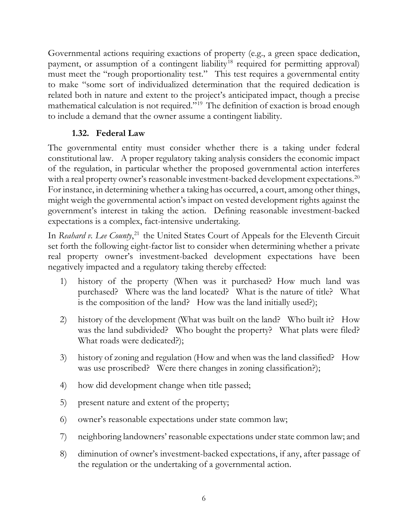Governmental actions requiring exactions of property (e.g., a green space dedication, payment, or assumption of a contingent liability<sup>[18](#page-18-8)</sup> required for permitting approval) must meet the "rough proportionality test." This test requires a governmental entity to make "some sort of individualized determination that the required dedication is related both in nature and extent to the project's anticipated impact, though a precise mathematical calculation is not required."[19](#page-18-9) The definition of exaction is broad enough to include a demand that the owner assume a contingent liability.

## **1.32. Federal Law**

The governmental entity must consider whether there is a taking under federal constitutional law. A proper regulatory taking analysis considers the economic impact of the regulation, in particular whether the proposed governmental action interferes with a real property owner's reasonable investment-backed development expectations.<sup>[20](#page-18-10)</sup> For instance, in determining whether a taking has occurred, a court, among other things, might weigh the governmental action's impact on vested development rights against the government's interest in taking the action. Defining reasonable investment-backed expectations is a complex, fact-intensive undertaking.

In *Reahard v. Lee County*,<sup>[21](#page-18-11)</sup> the United States Court of Appeals for the Eleventh Circuit set forth the following eight-factor list to consider when determining whether a private real property owner's investment-backed development expectations have been negatively impacted and a regulatory taking thereby effected:

- 1) history of the property (When was it purchased? How much land was purchased? Where was the land located? What is the nature of title? What is the composition of the land? How was the land initially used?);
- 2) history of the development (What was built on the land? Who built it? How was the land subdivided? Who bought the property? What plats were filed? What roads were dedicated?);
- 3) history of zoning and regulation (How and when was the land classified? How was use proscribed? Were there changes in zoning classification?);
- 4) how did development change when title passed;
- 5) present nature and extent of the property;
- 6) owner's reasonable expectations under state common law;
- 7) neighboring landowners' reasonable expectations under state common law; and
- 8) diminution of owner's investment-backed expectations, if any, after passage of the regulation or the undertaking of a governmental action.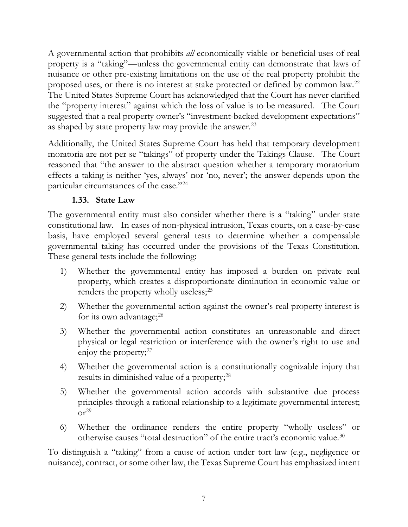A governmental action that prohibits *all* economically viable or beneficial uses of real property is a "taking"—unless the governmental entity can demonstrate that laws of nuisance or other pre-existing limitations on the use of the real property prohibit the proposed uses, or there is no interest at stake protected or defined by common law.[22](#page-18-12) The United States Supreme Court has acknowledged that the Court has never clarified the "property interest" against which the loss of value is to be measured. The Court suggested that a real property owner's "investment-backed development expectations" as shaped by state property law may provide the answer.<sup>[23](#page-18-13)</sup>

Additionally, the United States Supreme Court has held that temporary development moratoria are not per se "takings" of property under the Takings Clause. The Court reasoned that "the answer to the abstract question whether a temporary moratorium effects a taking is neither 'yes, always' nor 'no, never'; the answer depends upon the particular circumstances of the case."[24](#page-18-14)

## **1.33. State Law**

The governmental entity must also consider whether there is a "taking" under state constitutional law. In cases of non-physical intrusion, Texas courts, on a case-by-case basis, have employed several general tests to determine whether a compensable governmental taking has occurred under the provisions of the Texas Constitution. These general tests include the following:

- 1) Whether the governmental entity has imposed a burden on private real property, which creates a disproportionate diminution in economic value or renders the property wholly useless;<sup>[25](#page-19-0)</sup>
- 2) Whether the governmental action against the owner's real property interest is for its own advantage; $^{26}$  $^{26}$  $^{26}$
- 3) Whether the governmental action constitutes an unreasonable and direct physical or legal restriction or interference with the owner's right to use and enjoy the property;<sup>[27](#page-19-2)</sup>
- 4) Whether the governmental action is a constitutionally cognizable injury that results in diminished value of a property;<sup>[28](#page-19-3)</sup>
- 5) Whether the governmental action accords with substantive due process principles through a rational relationship to a legitimate governmental interest;  $\text{or}^{\text{29}}$  $\text{or}^{\text{29}}$  $\text{or}^{\text{29}}$
- 6) Whether the ordinance renders the entire property "wholly useless" or otherwise causes "total destruction" of the entire tract's economic value.[30](#page-20-0)

To distinguish a "taking" from a cause of action under tort law (e.g., negligence or nuisance), contract, or some other law, the Texas Supreme Court has emphasized intent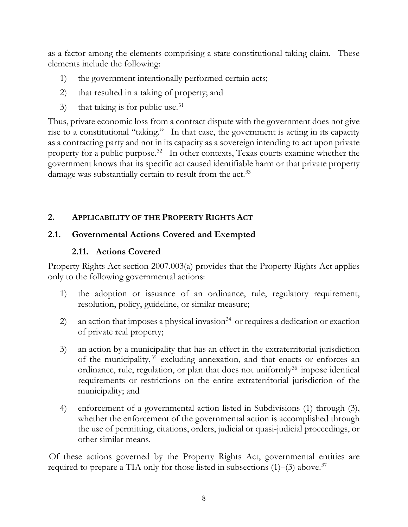as a factor among the elements comprising a state constitutional taking claim. These elements include the following:

- 1) the government intentionally performed certain acts;
- 2) that resulted in a taking of property; and
- 3) that taking is for public use.<sup>31</sup>

Thus, private economic loss from a contract dispute with the government does not give rise to a constitutional "taking." In that case, the government is acting in its capacity as a contracting party and not in its capacity as a sovereign intending to act upon private property for a public purpose.<sup>32</sup> In other contexts, Texas courts examine whether the government knows that its specific act caused identifiable harm or that private property damage was substantially certain to result from the act.<sup>[33](#page-20-3)</sup>

## **2. APPLICABILITY OF THE PROPERTY RIGHTS ACT**

## **2.1. Governmental Actions Covered and Exempted**

## **2.11. Actions Covered**

Property Rights Act section 2007.003(a) provides that the Property Rights Act applies only to the following governmental actions:

- 1) the adoption or issuance of an ordinance, rule, regulatory requirement, resolution, policy, guideline, or similar measure;
- 2) an action that imposes a physical invasion<sup>[34](#page-20-4)</sup> or requires a dedication or exaction of private real property;
- 3) an action by a municipality that has an effect in the extraterritorial jurisdiction of the municipality,<sup>[35](#page-20-5)</sup> excluding annexation, and that enacts or enforces an ordinance, rule, regulation, or plan that does not uniformly<sup>[36](#page-20-6)</sup> impose identical requirements or restrictions on the entire extraterritorial jurisdiction of the municipality; and
- 4) enforcement of a governmental action listed in Subdivisions (1) through (3), whether the enforcement of the governmental action is accomplished through the use of permitting, citations, orders, judicial or quasi-judicial proceedings, or other similar means.

Of these actions governed by the Property Rights Act, governmental entities are required to prepare a TIA only for those listed in subsections (1)–(3) above. [37](#page-20-7)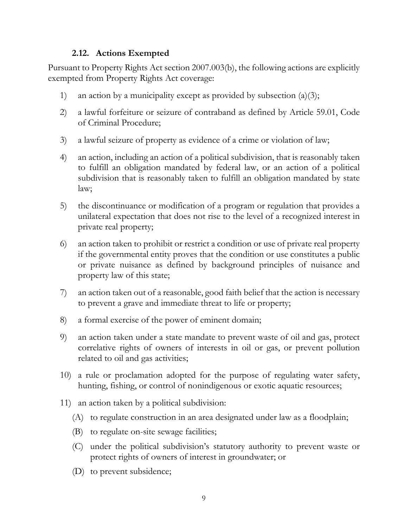#### **2.12. Actions Exempted**

Pursuant to Property Rights Act section 2007.003(b), the following actions are explicitly exempted from Property Rights Act coverage:

- 1) an action by a municipality except as provided by subsection  $(a)(3)$ ;
- 2) a lawful forfeiture or seizure of contraband as defined by Article 59.01, Code of Criminal Procedure;
- 3) a lawful seizure of property as evidence of a crime or violation of law;
- 4) an action, including an action of a political subdivision, that is reasonably taken to fulfill an obligation mandated by federal law, or an action of a political subdivision that is reasonably taken to fulfill an obligation mandated by state law;
- 5) the discontinuance or modification of a program or regulation that provides a unilateral expectation that does not rise to the level of a recognized interest in private real property;
- 6) an action taken to prohibit or restrict a condition or use of private real property if the governmental entity proves that the condition or use constitutes a public or private nuisance as defined by background principles of nuisance and property law of this state;
- 7) an action taken out of a reasonable, good faith belief that the action is necessary to prevent a grave and immediate threat to life or property;
- 8) a formal exercise of the power of eminent domain;
- 9) an action taken under a state mandate to prevent waste of oil and gas, protect correlative rights of owners of interests in oil or gas, or prevent pollution related to oil and gas activities;
- 10) a rule or proclamation adopted for the purpose of regulating water safety, hunting, fishing, or control of nonindigenous or exotic aquatic resources;
- 11) an action taken by a political subdivision:
	- (A) to regulate construction in an area designated under law as a floodplain;
	- (B) to regulate on-site sewage facilities;
	- (C) under the political subdivision's statutory authority to prevent waste or protect rights of owners of interest in groundwater; or
	- (D) to prevent subsidence;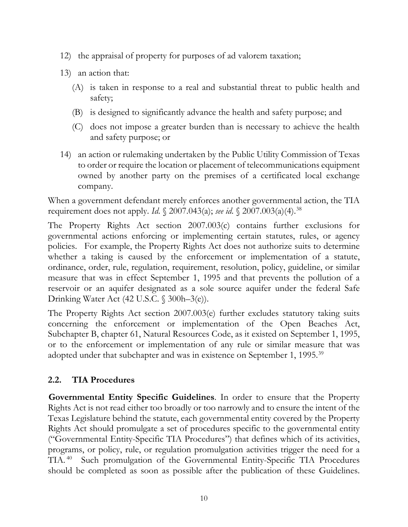- 12) the appraisal of property for purposes of ad valorem taxation;
- 13) an action that:
	- (A) is taken in response to a real and substantial threat to public health and safety;
	- (B) is designed to significantly advance the health and safety purpose; and
	- (C) does not impose a greater burden than is necessary to achieve the health and safety purpose; or
- 14) an action or rulemaking undertaken by the Public Utility Commission of Texas to order or require the location or placement of telecommunications equipment owned by another party on the premises of a certificated local exchange company.

When a government defendant merely enforces another governmental action, the TIA requirement does not apply. *Id*. § 2007.043(a); *see id*. § 2007.003(a)(4).[38](#page-20-8)

The Property Rights Act section 2007.003(c) contains further exclusions for governmental actions enforcing or implementing certain statutes, rules, or agency policies. For example, the Property Rights Act does not authorize suits to determine whether a taking is caused by the enforcement or implementation of a statute, ordinance, order, rule, regulation, requirement, resolution, policy, guideline, or similar measure that was in effect September 1, 1995 and that prevents the pollution of a reservoir or an aquifer designated as a sole source aquifer under the federal Safe Drinking Water Act (42 U.S.C. § 300h–3(e)).

The Property Rights Act section 2007.003(e) further excludes statutory taking suits concerning the enforcement or implementation of the Open Beaches Act, Subchapter B, chapter 61, Natural Resources Code, as it existed on September 1, 1995, or to the enforcement or implementation of any rule or similar measure that was adopted under that subchapter and was in existence on September 1, 1995.<sup>[39](#page-21-0)</sup>

#### **2.2. TIA Procedures**

**Governmental Entity Specific Guidelines**. In order to ensure that the Property Rights Act is not read either too broadly or too narrowly and to ensure the intent of the Texas Legislature behind the statute, each governmental entity covered by the Property Rights Act should promulgate a set of procedures specific to the governmental entity ("Governmental Entity-Specific TIA Procedures") that defines which of its activities, programs, or policy, rule, or regulation promulgation activities trigger the need for a TIA. [40](#page-21-1) Such promulgation of the Governmental Entity-Specific TIA Procedures should be completed as soon as possible after the publication of these Guidelines.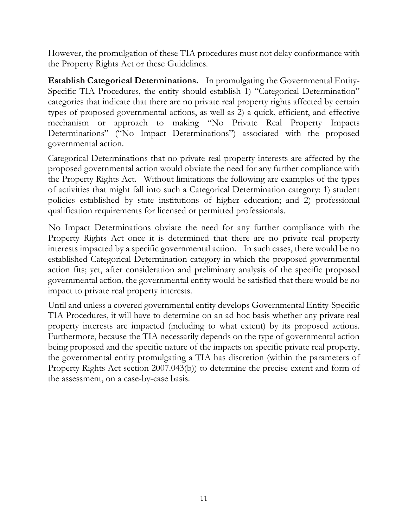However, the promulgation of these TIA procedures must not delay conformance with the Property Rights Act or these Guidelines.

**Establish Categorical Determinations.** In promulgating the Governmental Entity-Specific TIA Procedures, the entity should establish 1) "Categorical Determination" categories that indicate that there are no private real property rights affected by certain types of proposed governmental actions, as well as 2) a quick, efficient, and effective mechanism or approach to making "No Private Real Property Impacts Determinations" ("No Impact Determinations") associated with the proposed governmental action.

Categorical Determinations that no private real property interests are affected by the proposed governmental action would obviate the need for any further compliance with the Property Rights Act. Without limitations the following are examples of the types of activities that might fall into such a Categorical Determination category: 1) student policies established by state institutions of higher education; and 2) professional qualification requirements for licensed or permitted professionals.

No Impact Determinations obviate the need for any further compliance with the Property Rights Act once it is determined that there are no private real property interests impacted by a specific governmental action. In such cases, there would be no established Categorical Determination category in which the proposed governmental action fits; yet, after consideration and preliminary analysis of the specific proposed governmental action, the governmental entity would be satisfied that there would be no impact to private real property interests.

Until and unless a covered governmental entity develops Governmental Entity-Specific TIA Procedures, it will have to determine on an ad hoc basis whether any private real property interests are impacted (including to what extent) by its proposed actions. Furthermore, because the TIA necessarily depends on the type of governmental action being proposed and the specific nature of the impacts on specific private real property, the governmental entity promulgating a TIA has discretion (within the parameters of Property Rights Act section 2007.043(b)) to determine the precise extent and form of the assessment, on a case-by-case basis.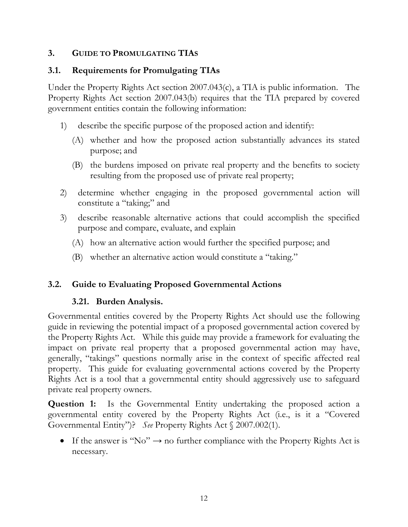## **3. GUIDE TO PROMULGATING TIAS**

## **3.1. Requirements for Promulgating TIAs**

Under the Property Rights Act section 2007.043(c), a TIA is public information. The Property Rights Act section 2007.043(b) requires that the TIA prepared by covered government entities contain the following information:

- 1) describe the specific purpose of the proposed action and identify:
	- (A) whether and how the proposed action substantially advances its stated purpose; and
	- (B) the burdens imposed on private real property and the benefits to society resulting from the proposed use of private real property;
- 2) determine whether engaging in the proposed governmental action will constitute a "taking;" and
- 3) describe reasonable alternative actions that could accomplish the specified purpose and compare, evaluate, and explain
	- (A) how an alternative action would further the specified purpose; and
	- (B) whether an alternative action would constitute a "taking."

# **3.2. Guide to Evaluating Proposed Governmental Actions**

# **3.21. Burden Analysis.**

Governmental entities covered by the Property Rights Act should use the following guide in reviewing the potential impact of a proposed governmental action covered by the Property Rights Act. While this guide may provide a framework for evaluating the impact on private real property that a proposed governmental action may have, generally, "takings" questions normally arise in the context of specific affected real property. This guide for evaluating governmental actions covered by the Property Rights Act is a tool that a governmental entity should aggressively use to safeguard private real property owners.

**Question 1:** Is the Governmental Entity undertaking the proposed action a governmental entity covered by the Property Rights Act (i.e., is it a "Covered Governmental Entity")? *See* Property Rights Act § 2007.002(1).

• If the answer is "No"  $\rightarrow$  no further compliance with the Property Rights Act is necessary.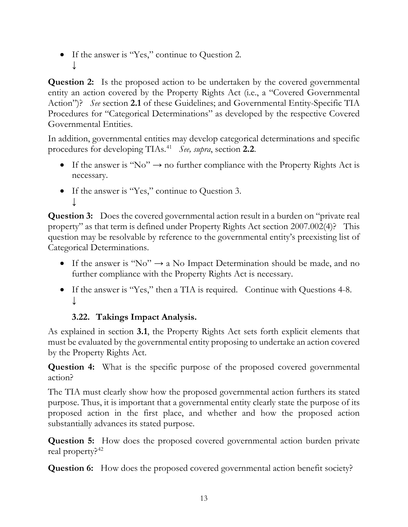• If the answer is "Yes," continue to Question 2. ↓

**Question 2:** Is the proposed action to be undertaken by the covered governmental entity an action covered by the Property Rights Act (i.e., a "Covered Governmental Action")? *See* section **2.1** of these Guidelines; and Governmental Entity-Specific TIA Procedures for "Categorical Determinations" as developed by the respective Covered Governmental Entities.

In addition, governmental entities may develop categorical determinations and specific procedures for developing TIAs.[41](#page-21-2) *See, supra*, section **2.2**.

- If the answer is "No"  $\rightarrow$  no further compliance with the Property Rights Act is necessary.
- If the answer is "Yes," continue to Question 3. ↓

**Question 3:** Does the covered governmental action result in a burden on "private real" property" as that term is defined under Property Rights Act section 2007.002(4)? This question may be resolvable by reference to the governmental entity's preexisting list of Categorical Determinations.

- If the answer is "No"  $\rightarrow$  a No Impact Determination should be made, and no further compliance with the Property Rights Act is necessary.
- If the answer is "Yes," then a TIA is required. Continue with Questions 4-8. ↓

# **3.22. Takings Impact Analysis.**

As explained in section **3.1**, the Property Rights Act sets forth explicit elements that must be evaluated by the governmental entity proposing to undertake an action covered by the Property Rights Act.

**Question 4:** What is the specific purpose of the proposed covered governmental action?

The TIA must clearly show how the proposed governmental action furthers its stated purpose. Thus, it is important that a governmental entity clearly state the purpose of its proposed action in the first place, and whether and how the proposed action substantially advances its stated purpose.

**Question 5:** How does the proposed covered governmental action burden private real property?<sup>[42](#page-21-3)</sup>

**Question 6:** How does the proposed covered governmental action benefit society?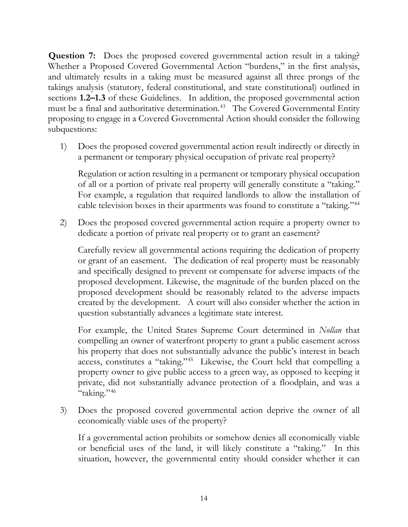**Question 7:** Does the proposed covered governmental action result in a taking? Whether a Proposed Covered Governmental Action "burdens," in the first analysis, and ultimately results in a taking must be measured against all three prongs of the takings analysis (statutory, federal constitutional, and state constitutional) outlined in sections **1.2–1.3** of these Guidelines. In addition, the proposed governmental action must be a final and authoritative determination.<sup>[43](#page-21-4)</sup> The Covered Governmental Entity proposing to engage in a Covered Governmental Action should consider the following subquestions:

1) Does the proposed covered governmental action result indirectly or directly in a permanent or temporary physical occupation of private real property?

Regulation or action resulting in a permanent or temporary physical occupation of all or a portion of private real property will generally constitute a "taking." For example, a regulation that required landlords to allow the installation of cable television boxes in their apartments was found to constitute a "taking."[44](#page-21-5)

2) Does the proposed covered governmental action require a property owner to dedicate a portion of private real property or to grant an easement?

Carefully review all governmental actions requiring the dedication of property or grant of an easement. The dedication of real property must be reasonably and specifically designed to prevent or compensate for adverse impacts of the proposed development. Likewise, the magnitude of the burden placed on the proposed development should be reasonably related to the adverse impacts created by the development. A court will also consider whether the action in question substantially advances a legitimate state interest.

For example, the United States Supreme Court determined in *Nollan* that compelling an owner of waterfront property to grant a public easement across his property that does not substantially advance the public's interest in beach access, constitutes a "taking."[45](#page-21-6) Likewise, the Court held that compelling a property owner to give public access to a green way, as opposed to keeping it private, did not substantially advance protection of a floodplain, and was a "taking."[46](#page-21-7)

3) Does the proposed covered governmental action deprive the owner of all economically viable uses of the property?

If a governmental action prohibits or somehow denies all economically viable or beneficial uses of the land, it will likely constitute a "taking." In this situation, however, the governmental entity should consider whether it can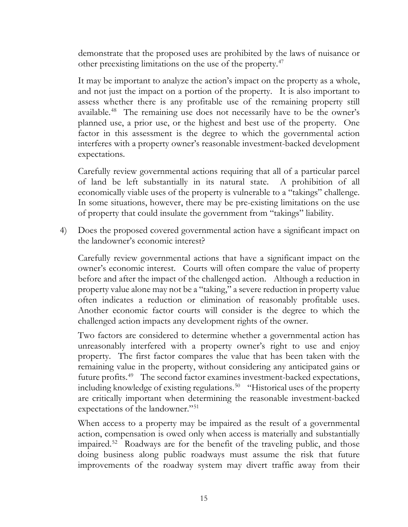demonstrate that the proposed uses are prohibited by the laws of nuisance or other preexisting limitations on the use of the property.[47](#page-21-8)

It may be important to analyze the action's impact on the property as a whole, and not just the impact on a portion of the property. It is also important to assess whether there is any profitable use of the remaining property still available.[48](#page-21-9) The remaining use does not necessarily have to be the owner's planned use, a prior use, or the highest and best use of the property. One factor in this assessment is the degree to which the governmental action interferes with a property owner's reasonable investment-backed development expectations.

Carefully review governmental actions requiring that all of a particular parcel of land be left substantially in its natural state. A prohibition of all economically viable uses of the property is vulnerable to a "takings" challenge. In some situations, however, there may be pre-existing limitations on the use of property that could insulate the government from "takings" liability.

4) Does the proposed covered governmental action have a significant impact on the landowner's economic interest?

Carefully review governmental actions that have a significant impact on the owner's economic interest. Courts will often compare the value of property before and after the impact of the challenged action. Although a reduction in property value alone may not be a "taking," a severe reduction in property value often indicates a reduction or elimination of reasonably profitable uses. Another economic factor courts will consider is the degree to which the challenged action impacts any development rights of the owner.

Two factors are considered to determine whether a governmental action has unreasonably interfered with a property owner's right to use and enjoy property. The first factor compares the value that has been taken with the remaining value in the property, without considering any anticipated gains or future profits.<sup>[49](#page-21-10)</sup> The second factor examines investment-backed expectations, including knowledge of existing regulations.<sup>50</sup> "Historical uses of the property are critically important when determining the reasonable investment-backed expectations of the landowner."[51](#page-21-12)

When access to a property may be impaired as the result of a governmental action, compensation is owed only when access is materially and substantially impaired.<sup>[52](#page-21-13)</sup> Roadways are for the benefit of the traveling public, and those doing business along public roadways must assume the risk that future improvements of the roadway system may divert traffic away from their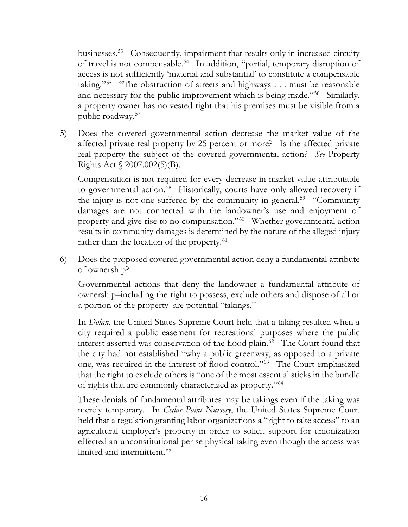businesses.<sup>[53](#page-21-14)</sup> Consequently, impairment that results only in increased circuity of travel is not compensable.[54](#page-21-15) In addition, "partial, temporary disruption of access is not sufficiently 'material and substantial' to constitute a compensable taking."[55](#page-21-16) "The obstruction of streets and highways . . . must be reasonable and necessary for the public improvement which is being made."<sup>56</sup> Similarly, a property owner has no vested right that his premises must be visible from a public roadway.[57](#page-21-18)

5) Does the covered governmental action decrease the market value of the affected private real property by 25 percent or more? Is the affected private real property the subject of the covered governmental action? *See* Property Rights Act § 2007.002(5)(B).

Compensation is not required for every decrease in market value attributable to governmental action.<sup>[58](#page-21-19)</sup> Historically, courts have only allowed recovery if the injury is not one suffered by the community in general.<sup>[59](#page-22-0)</sup> "Community" damages are not connected with the landowner's use and enjoyment of property and give rise to no compensation."[60](#page-22-1) Whether governmental action results in community damages is determined by the nature of the alleged injury rather than the location of the property.<sup>[61](#page-22-2)</sup>

6) Does the proposed covered governmental action deny a fundamental attribute of ownership?

Governmental actions that deny the landowner a fundamental attribute of ownership–including the right to possess, exclude others and dispose of all or a portion of the property–are potential "takings."

In *Dolan,* the United States Supreme Court held that a taking resulted when a city required a public easement for recreational purposes where the public interest asserted was conservation of the flood plain.<sup>[62](#page-22-3)</sup> The Court found that the city had not established "why a public greenway, as opposed to a private one, was required in the interest of flood control."[63](#page-22-4) The Court emphasized that the right to exclude others is "one of the most essential sticks in the bundle of rights that are commonly characterized as property."[64](#page-22-5)

These denials of fundamental attributes may be takings even if the taking was merely temporary. In *Cedar Point Nursery*, the United States Supreme Court held that a regulation granting labor organizations a "right to take access" to an agricultural employer's property in order to solicit support for unionization effected an unconstitutional per se physical taking even though the access was limited and intermittent. [65](#page-22-6)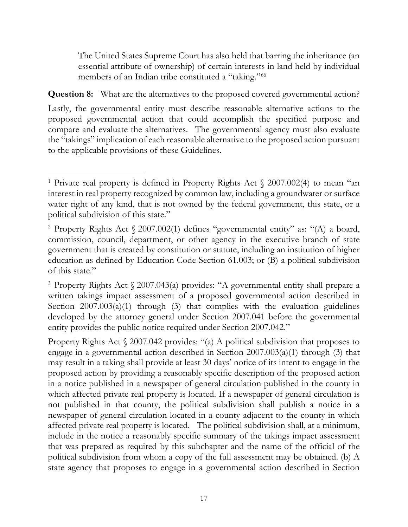The United States Supreme Court has also held that barring the inheritance (an essential attribute of ownership) of certain interests in land held by individual members of an Indian tribe constituted a "taking."<sup>[66](#page-22-7)</sup>

**Question 8:** What are the alternatives to the proposed covered governmental action?

Lastly, the governmental entity must describe reasonable alternative actions to the proposed governmental action that could accomplish the specified purpose and compare and evaluate the alternatives. The governmental agency must also evaluate the "takings" implication of each reasonable alternative to the proposed action pursuant to the applicable provisions of these Guidelines.

Property Rights Act  $\S$  2007.042 provides: "(a) A political subdivision that proposes to engage in a governmental action described in Section 2007.003(a)(1) through (3) that may result in a taking shall provide at least 30 days' notice of its intent to engage in the proposed action by providing a reasonably specific description of the proposed action in a notice published in a newspaper of general circulation published in the county in which affected private real property is located. If a newspaper of general circulation is not published in that county, the political subdivision shall publish a notice in a newspaper of general circulation located in a county adjacent to the county in which affected private real property is located. The political subdivision shall, at a minimum, include in the notice a reasonably specific summary of the takings impact assessment that was prepared as required by this subchapter and the name of the official of the political subdivision from whom a copy of the full assessment may be obtained. (b) A state agency that proposes to engage in a governmental action described in Section

<span id="page-16-0"></span><sup>&</sup>lt;sup>1</sup> Private real property is defined in Property Rights Act  $\frac{2007.002(4)}{2007.002(4)}$  to mean "an interest in real property recognized by common law, including a groundwater or surface water right of any kind, that is not owned by the federal government, this state, or a political subdivision of this state."

<span id="page-16-1"></span><sup>&</sup>lt;sup>2</sup> Property Rights Act  $\sqrt{2007.002(1)}$  defines "governmental entity" as: "(A) a board, commission, council, department, or other agency in the executive branch of state government that is created by constitution or statute, including an institution of higher education as defined by Education Code Section 61.003; or (B) a political subdivision of this state."

<span id="page-16-2"></span><sup>3</sup> Property Rights Act § 2007.043(a) provides: "A governmental entity shall prepare a written takings impact assessment of a proposed governmental action described in Section 2007.003(a)(1) through (3) that complies with the evaluation guidelines developed by the attorney general under Section 2007.041 before the governmental entity provides the public notice required under Section 2007.042."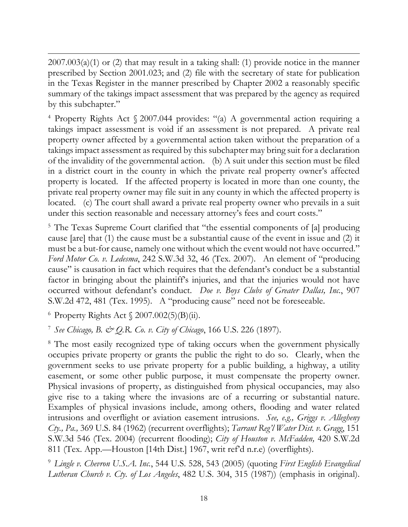$2007.003(a)(1)$  or (2) that may result in a taking shall: (1) provide notice in the manner prescribed by Section 2001.023; and (2) file with the secretary of state for publication in the Texas Register in the manner prescribed by Chapter 2002 a reasonably specific summary of the takings impact assessment that was prepared by the agency as required by this subchapter."

<span id="page-17-0"></span><sup>4</sup> Property Rights Act § 2007.044 provides: "(a) A governmental action requiring a takings impact assessment is void if an assessment is not prepared. A private real property owner affected by a governmental action taken without the preparation of a takings impact assessment as required by this subchapter may bring suit for a declaration of the invalidity of the governmental action. (b) A suit under this section must be filed in a district court in the county in which the private real property owner's affected property is located. If the affected property is located in more than one county, the private real property owner may file suit in any county in which the affected property is located. (c) The court shall award a private real property owner who prevails in a suit under this section reasonable and necessary attorney's fees and court costs."

<span id="page-17-1"></span><sup>5</sup> The Texas Supreme Court clarified that "the essential components of [a] producing cause [are] that (1) the cause must be a substantial cause of the event in issue and (2) it must be a but-for cause, namely one without which the event would not have occurred." *Ford Motor Co. v. Ledesma*, 242 S.W.3d 32, 46 (Tex. 2007). An element of "producing cause" is causation in fact which requires that the defendant's conduct be a substantial factor in bringing about the plaintiff's injuries, and that the injuries would not have occurred without defendant's conduct. *Doe v. Boys Clubs of Greater Dallas, Inc.*, 907 S.W.2d 472, 481 (Tex. 1995). A "producing cause" need not be foreseeable.

<span id="page-17-2"></span> $6$  Property Rights Act  $\frac{2007.002(5)}{B}$  ii).

<span id="page-17-3"></span><sup>7</sup> *See Chicago, B. & Q.R. Co. v. City of Chicago*, 166 U.S. 226 (1897).

<span id="page-17-4"></span><sup>8</sup> The most easily recognized type of taking occurs when the government physically occupies private property or grants the public the right to do so. Clearly, when the government seeks to use private property for a public building, a highway, a utility easement, or some other public purpose, it must compensate the property owner. Physical invasions of property, as distinguished from physical occupancies, may also give rise to a taking where the invasions are of a recurring or substantial nature. Examples of physical invasions include, among others, flooding and water related intrusions and overflight or aviation easement intrusions. *See, e.g., [Griggs v. Allegheny](https://1.next.westlaw.com/Link/Document/FullText?findType=Y&serNum=1962127574&pubNum=0000708&originatingDoc=I26b902e6e7bb11d98ac8f235252e36df&refType=RP&originationContext=document&transitionType=DocumentItem&contextData=(sc.DocLink)) Cty., Pa.,* [369 U.S. 84 \(1962\)](https://1.next.westlaw.com/Link/Document/FullText?findType=Y&serNum=1962127574&pubNum=0000708&originatingDoc=I26b902e6e7bb11d98ac8f235252e36df&refType=RP&originationContext=document&transitionType=DocumentItem&contextData=(sc.DocLink)) (recurrent overflights); *Tarrant Reg'l Water Dist. v. Gragg*, 151 S.W.3d 546 (Tex. 2004) (recurrent flooding); *[City of Houston v. McFadden,](https://1.next.westlaw.com/Link/Document/FullText?findType=Y&serNum=1967133825&pubNum=713&originatingDoc=I216cd394e7b411d9bf60c1d57ebc853e&refType=RP&fi=co_pp_sp_713_814&originationContext=document&transitionType=DocumentItem&contextData=(sc.Search)#co_pp_sp_713_814)* 420 S.W.2d [811 \(Tex. App.—Houston \[14th Dist.\] 1967, writ ref'd n.r.e\)](https://1.next.westlaw.com/Link/Document/FullText?findType=Y&serNum=1967133825&pubNum=713&originatingDoc=I216cd394e7b411d9bf60c1d57ebc853e&refType=RP&fi=co_pp_sp_713_814&originationContext=document&transitionType=DocumentItem&contextData=(sc.Search)#co_pp_sp_713_814) (overflights).

<span id="page-17-5"></span><sup>9</sup> *Lingle v. Chevron U.S.A. Inc.*, 544 U.S. 528, 543 (2005) (quoting *First English Evangelical Lutheran Church v. Cty. of Los Angeles*, 482 U.S. 304, 315 (1987)) (emphasis in original).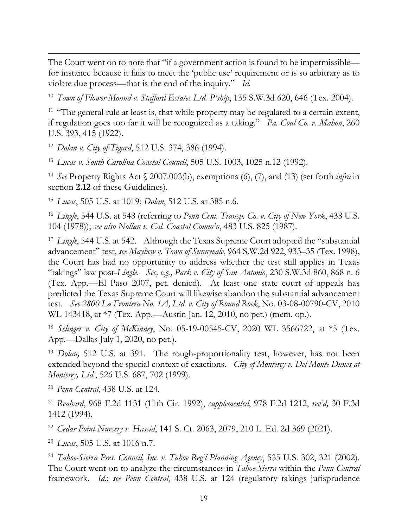The Court went on to note that "if a government action is found to be impermissible for instance because it fails to meet the 'public use' requirement or is so arbitrary as to violate due process—that is the end of the inquiry." *Id.*

<span id="page-18-0"></span><sup>10</sup> *Town of Flower Mound v. Stafford Estates Ltd. P'ship*, 135 S.W.3d 620, 646 (Tex. 2004).

<span id="page-18-1"></span><sup>11</sup> "The general rule at least is, that while property may be regulated to a certain extent, if regulation goes too far it will be recognized as a taking." *Pa. Coal Co. v. Mahon*, 260 U.S. 393, 415 (1922).

<span id="page-18-2"></span><sup>12</sup> *Dolan v. City of Tigard*, 512 U.S. 374, 386 (1994).

<span id="page-18-3"></span><sup>13</sup> *Lucas v. South Carolina Coastal Council*, 505 U.S. 1003, 1025 n.12 (1992).

<span id="page-18-4"></span><sup>14</sup> *See* Property Rights Act § 2007.003(b), exemptions (6), (7), and (13) (set forth *infra* in section **2.12** of these Guidelines).

<span id="page-18-5"></span><sup>15</sup> *Lucas*, 505 U.S. at 1019; *Dolan*, 512 U.S. at 385 n.6.

<span id="page-18-6"></span><sup>16</sup> *Lingle*, 544 U.S. at 548 (referring to *Penn Cent. Transp. Co. v. City of New York*, 438 U.S. 104 (1978)); *see also Nollan v. Cal. Coastal Comm'n*, 483 U.S. 825 (1987).

<span id="page-18-7"></span><sup>17</sup> *Lingle*, 544 U.S. at 542. Although the Texas Supreme Court adopted the "substantial advancement" test, *see Mayhew v. Town of Sunnyvale*, 964 S.W.2d 922, 933–35 (Tex. 1998), the Court has had no opportunity to address whether the test still applies in Texas "takings" law post-*Lingle*. *See, e.g., Park v. City of San Antonio*, 230 S.W.3d 860, 868 n. 6 (Tex. App.—El Paso 2007, pet. denied). At least one state court of appeals has predicted the Texas Supreme Court will likewise abandon the substantial advancement test. *See 2800 La Frontera No. 1A, Ltd. v. City of Round Rock*, No. 03-08-00790-CV, 2010 WL 143418, at \*7 (Tex. App.—Austin Jan. 12, 2010, no pet.) (mem. op.).

<span id="page-18-8"></span><sup>18</sup> *Selinger v. City of McKinney*, No. 05-19-00545-CV, 2020 WL 3566722, at \*5 (Tex. App.—Dallas July 1, 2020, no pet.).

<span id="page-18-9"></span><sup>19</sup> *Dolan,* 512 U.S. at 391. The rough-proportionality test, however, has not been extended beyond the special context of exactions. *City of Monterey v. Del Monte Dunes at Monterey, Ltd.*, 526 U.S. 687, 702 (1999).

<span id="page-18-10"></span><sup>20</sup> *Penn Central*, 438 U.S. at 124.

<span id="page-18-11"></span><sup>21</sup> *Reahard*, 968 F.2d 1131 (11th Cir. 1992), *supplemented*, 978 F.2d 1212, *rev'd,* 30 F.3d 1412 (1994).

<span id="page-18-12"></span><sup>22</sup> *Cedar Point Nursery v. Hassid*, 141 S. Ct. 2063, 2079, 210 L. Ed. 2d 369 (2021).

<span id="page-18-13"></span><sup>23</sup> *Lucas*, 505 U.S. at 1016 n.7.

<span id="page-18-14"></span><sup>24</sup> *Tahoe-Sierra Pres. Council, Inc. v. Tahoe Reg'l Planning Agency*, 535 U.S. 302, 321 (2002). The Court went on to analyze the circumstances in *Tahoe-Sierra* within the *Penn Central* framework. *Id*.; *see Penn Central*, 438 U.S. at 124 (regulatory takings jurisprudence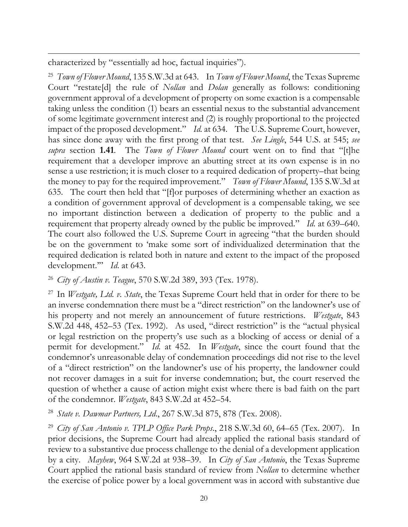characterized by "essentially ad hoc, factual inquiries").

<span id="page-19-0"></span><sup>25</sup> *Town of Flower Mound*, 135 S.W.3d at 643. In *Town of Flower Mound*, the Texas Supreme Court "restate[d] the rule of *Nollan* and *Dolan* generally as follows: conditioning government approval of a development of property on some exaction is a compensable taking unless the condition (1) bears an essential nexus to the substantial advancement of some legitimate government interest and (2) is roughly proportional to the projected impact of the proposed development." *Id.* at 634. The U.S. Supreme Court, however, has since done away with the first prong of that test. *See Lingle*, 544 U.S. at 545; *see supra* section **1.41**. The *Town of Flower Mound* court went on to find that "[t]he requirement that a developer improve an abutting street at its own expense is in no sense a use restriction; it is much closer to a required dedication of property–that being the money to pay for the required improvement." *Town of Flower Mound*, 135 S.W.3d at 635. The court then held that "[f]or purposes of determining whether an exaction as a condition of government approval of development is a compensable taking, we see no important distinction between a dedication of property to the public and a requirement that property already owned by the public be improved." *Id*. at 639–640. The court also followed the U.S. Supreme Court in agreeing "that the burden should be on the government to 'make some sort of individualized determination that the required dedication is related both in nature and extent to the impact of the proposed development.'" *Id*. at 643.

<span id="page-19-1"></span><sup>26</sup> *City of Austin v. Teague*, 570 S.W.2d 389, 393 (Tex. 1978).

<span id="page-19-2"></span><sup>27</sup> In *Westgate, Ltd. v. State*, the Texas Supreme Court held that in order for there to be an inverse condemnation there must be a "direct restriction" on the landowner's use of his property and not merely an announcement of future restrictions. *Westgate*, 843 S.W.2d 448, 452–53 (Tex. 1992). As used, "direct restriction" is the "actual physical or legal restriction on the property's use such as a blocking of access or denial of a permit for development." *Id.* at 452. In *Westgate*, since the court found that the condemnor's unreasonable delay of condemnation proceedings did not rise to the level of a "direct restriction" on the landowner's use of his property, the landowner could not recover damages in a suit for inverse condemnation; but, the court reserved the question of whether a cause of action might exist where there is bad faith on the part of the condemnor. *Westgate*, 843 S.W.2d at 452–54.

<span id="page-19-3"></span><sup>28</sup> *State v. Dawmar Partners, Ltd*., 267 S.W.3d 875, 878 (Tex. 2008).

<span id="page-19-4"></span><sup>29</sup> *City of San Antonio v. TPLP Office Park Props*., 218 S.W.3d 60, 64–65 (Tex. 2007). In prior decisions, the Supreme Court had already applied the rational basis standard of review to a substantive due process challenge to the denial of a development application by a city. *Mayhew*, 964 S.W.2d at 938–39. In *City of San Antonio*, the Texas Supreme Court applied the rational basis standard of review from *Nollan* to determine whether the exercise of police power by a local government was in accord with substantive due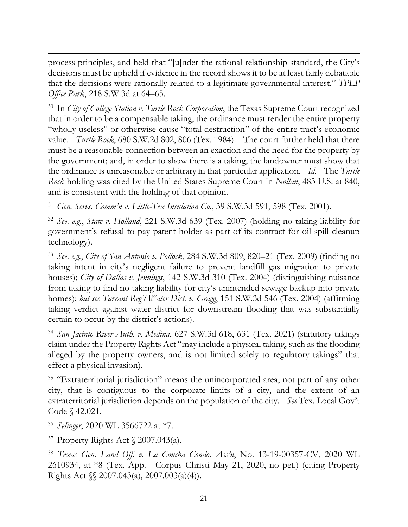process principles, and held that "[u]nder the rational relationship standard, the City's decisions must be upheld if evidence in the record shows it to be at least fairly debatable that the decisions were rationally related to a legitimate governmental interest." *TPLP Office Park*, 218 S.W.3d at 64–65.

<span id="page-20-0"></span><sup>30</sup> In *City of College Station v. Turtle Rock Corporation*, the Texas Supreme Court recognized that in order to be a compensable taking, the ordinance must render the entire property "wholly useless" or otherwise cause "total destruction" of the entire tract's economic value. *Turtle Rock*, 680 S.W.2d 802, 806 (Tex. 1984). The court further held that there must be a reasonable connection between an exaction and the need for the property by the government; and, in order to show there is a taking, the landowner must show that the ordinance is unreasonable or arbitrary in that particular application. *Id*. The *Turtle Rock* holding was cited by the United States Supreme Court in *Nollan*, 483 U.S. at 840, and is consistent with the holding of that opinion.

<span id="page-20-1"></span><sup>31</sup> *Gen. Servs. Comm'n v. Little-Tex Insulation Co*., 39 S.W.3d 591, 598 (Tex. 2001).

<span id="page-20-2"></span><sup>32</sup> *See, e.g.*, *State v. Holland*, 221 S.W.3d 639 (Tex. 2007) (holding no taking liability for government's refusal to pay patent holder as part of its contract for oil spill cleanup technology).

<span id="page-20-3"></span><sup>33</sup> *See, e.g.*, *City of San Antonio v. Pollock*, 284 S.W.3d 809, 820–21 (Tex. 2009) (finding no taking intent in city's negligent failure to prevent landfill gas migration to private houses); *City of Dallas v. Jennings*, 142 S.W.3d 310 (Tex. 2004) (distinguishing nuisance from taking to find no taking liability for city's unintended sewage backup into private homes); *but see Tarrant Reg'l Water Dist. v. Gragg*, 151 S.W.3d 546 (Tex. 2004) (affirming taking verdict against water district for downstream flooding that was substantially certain to occur by the district's actions).

<span id="page-20-4"></span><sup>34</sup> *San Jacinto River Auth. v. Medina*, 627 S.W.3d 618, 631 (Tex. 2021) (statutory takings claim under the Property Rights Act "may include a physical taking, such as the flooding alleged by the property owners, and is not limited solely to regulatory takings" that effect a physical invasion).

<span id="page-20-5"></span><sup>35</sup> "Extraterritorial jurisdiction" means the unincorporated area, not part of any other city, that is contiguous to the corporate limits of a city, and the extent of an extraterritorial jurisdiction depends on the population of the city. *See* Tex. Local Gov't Code § 42.021.

<span id="page-20-6"></span><sup>36</sup> *Selinger*, 2020 WL 3566722 at \*7.

<span id="page-20-7"></span> $37$  Property Rights Act  $\sqrt{2007.043(a)}$ .

<span id="page-20-8"></span><sup>38</sup> *Texas Gen. Land Off. v. La Concha Condo. Ass'n*, No. 13-19-00357-CV, 2020 WL 2610934, at \*8 (Tex. App.—Corpus Christi May 21, 2020, no pet.) (citing Property Rights Act §§ 2007.043(a), 2007.003(a)(4)).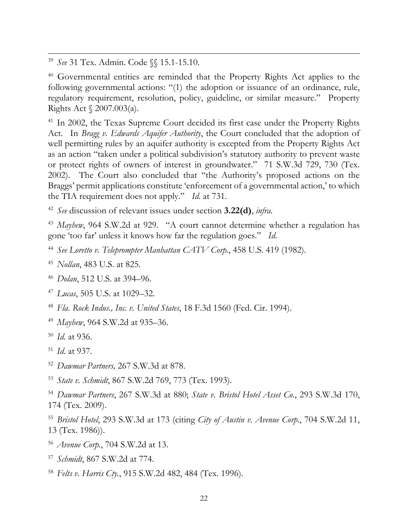<span id="page-21-0"></span><sup>39</sup> *See* 31 Tex. Admin. Code §§ 15.1-15.10.

<span id="page-21-1"></span><sup>40</sup> Governmental entities are reminded that the Property Rights Act applies to the following governmental actions: "(1) the adoption or issuance of an ordinance, rule, regulatory requirement, resolution, policy, guideline, or similar measure." Property Rights Act § 2007.003(a).

<span id="page-21-2"></span><sup>41</sup> In 2002, the Texas Supreme Court decided its first case under the Property Rights Act. In *Bragg v. Edwards Aquifer Authority*, the Court concluded that the adoption of well permitting rules by an aquifer authority is excepted from the Property Rights Act as an action "taken under a political subdivision's statutory authority to prevent waste or protect rights of owners of interest in groundwater." 71 S.W.3d 729, 730 (Tex. 2002). The Court also concluded that "the Authority's proposed actions on the Braggs' permit applications constitute 'enforcement of a governmental action,' to which the TIA requirement does not apply." *Id*. at 731.

<span id="page-21-3"></span><sup>42</sup> *See* discussion of relevant issues under section **3.22(d)**, *infra*.

<span id="page-21-4"></span><sup>43</sup> *Mayhew*, 964 S.W.2d at 929. "A court cannot determine whether a regulation has gone 'too far' unless it knows how far the regulation goes." *Id*.

- <span id="page-21-5"></span><sup>44</sup> *See Loretto v. Teleprompter Manhattan CATV Corp*., 458 U.S. 419 (1982).
- <span id="page-21-6"></span><sup>45</sup> *Nollan*, 483 U.S. at 825.
- <span id="page-21-7"></span><sup>46</sup> *Dolan*, 512 U.S. at 394–96.
- <span id="page-21-8"></span><sup>47</sup> *Lucas*, 505 U.S. at 1029–32.
- <span id="page-21-9"></span><sup>48</sup> *Fla. Rock Indus., Inc. v. United States*, 18 F.3d 1560 (Fed. Cir. 1994).
- <span id="page-21-10"></span><sup>49</sup> *Mayhew*, 964 S.W.2d at 935–36.
- <span id="page-21-11"></span><sup>50</sup> *Id.* at 936.
- <span id="page-21-12"></span><sup>51</sup> *Id*. at 937.
- <span id="page-21-13"></span><sup>52</sup> *Dawmar Partners,* 267 S.W.3d at 878.
- <span id="page-21-14"></span><sup>53</sup> *State v. Schmidt*, 867 S.W.2d 769, 773 (Tex. 1993).
- <span id="page-21-15"></span><sup>54</sup> *Dawmar Partners*, 267 S.W.3d at 880; *State v. Bristol Hotel Asset Co.*, 293 S.W.3d 170, 174 (Tex. 2009).
- <span id="page-21-16"></span><sup>55</sup> *Bristol Hotel*, 293 S.W.3d at 173 (citing *City of Austin v. Avenue Corp*., 704 S.W.2d 11, 13 (Tex. 1986)).
- <span id="page-21-17"></span><sup>56</sup> *Avenue Corp.*, 704 S.W.2d at 13.
- <span id="page-21-18"></span><sup>57</sup> *Schmidt*, 867 S.W.2d at 774.
- <span id="page-21-19"></span><sup>58</sup> *Felts v. Harris Cty.*, 915 S.W.2d 482, 484 (Tex. 1996).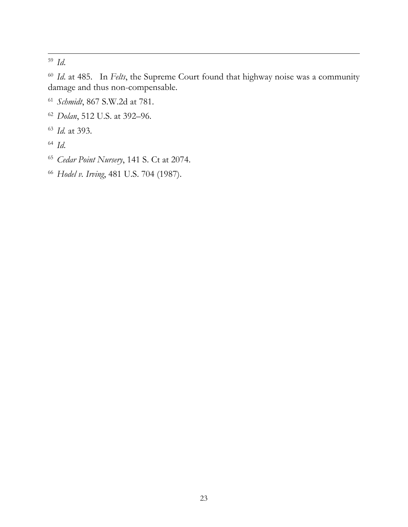<span id="page-22-0"></span>*Id*.

<span id="page-22-1"></span> *Id*. at 485. In *Felts*, the Supreme Court found that highway noise was a community damage and thus non-compensable.

- <span id="page-22-2"></span>*Schmidt*, 867 S.W.2d at 781.
- <span id="page-22-3"></span>*Dolan*, 512 U.S. at 392–96.
- <span id="page-22-4"></span>*Id.* at 393.
- <span id="page-22-5"></span>*Id*.
- <span id="page-22-6"></span>*Cedar Point Nursery*, 141 S. Ct at 2074.
- <span id="page-22-7"></span>*Hodel v. Irving*, 481 U.S. 704 (1987).